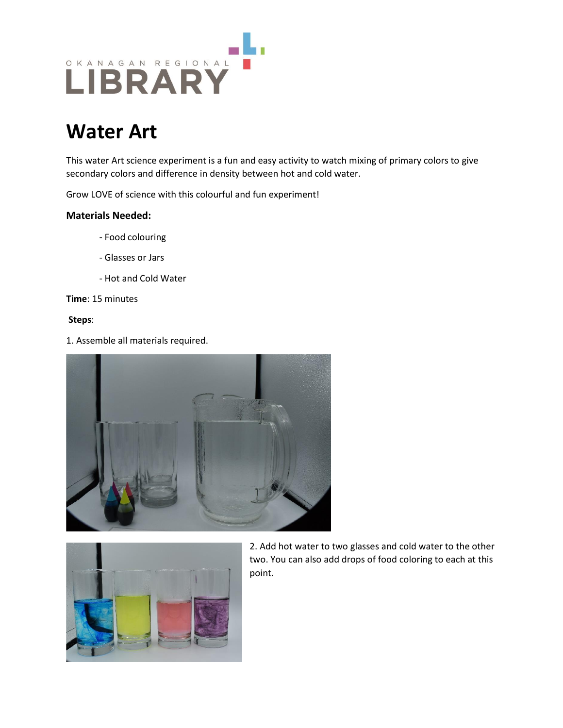

## **Water Art**

This water Art science experiment is a fun and easy activity to watch mixing of primary colors to give secondary colors and difference in density between hot and cold water.

Grow LOVE of science with this colourful and fun experiment!

## **Materials Needed:**

- Food colouring
- Glasses or Jars
- Hot and Cold Water

**Time**: 15 minutes

## **Steps**:

1. Assemble all materials required.





2. Add hot water to two glasses and cold water to the other two. You can also add drops of food coloring to each at this point.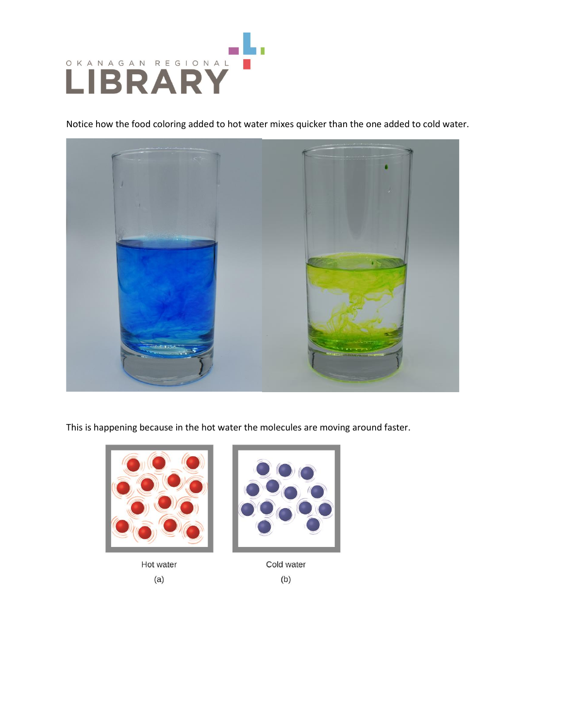

Notice how the food coloring added to hot water mixes quicker than the one added to cold water.



This is happening because in the hot water the molecules are moving around faster.



Hot water  $(a)$ 



Cold water  $(b)$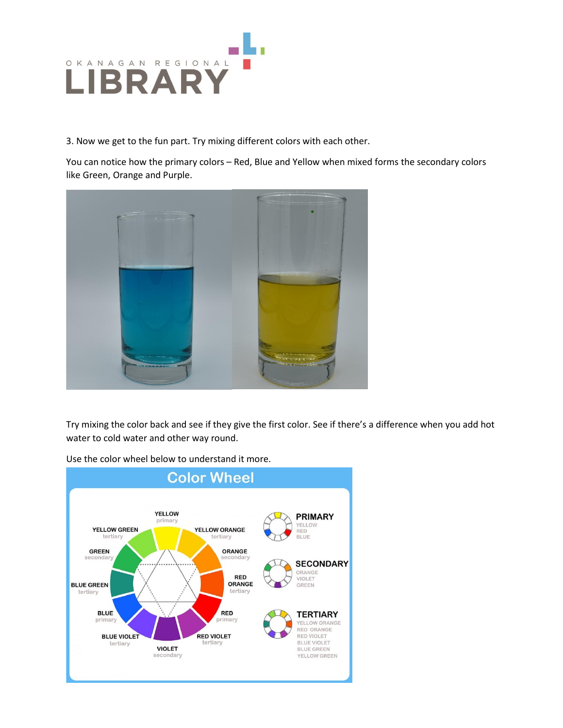

3. Now we get to the fun part. Try mixing different colors with each other.

You can notice how the primary colors – Red, Blue and Yellow when mixed forms the secondary colors like Green, Orange and Purple.



Try mixing the color back and see if they give the first color. See if there's a difference when you add hot water to cold water and other way round.

**Color Wheel YELLOW PRIMARY** primary YELLOW **YELLOW GREEN YELLOW ORANGE RED BLUE** tertiary tertiary **GREEN** ORANGE **SECONDARY** ORANGE<br>VIOLET RED ORANGE **BLUE GREEN** GREEN tertiary tertiary **BLUE RED TERTIARY** prima primary YELLOW ORANGE RED ORANGE **BLUE VIOLET RED VIOLET** RED VIOLET **BLUE VIOLET** tertiary tertiary BLUE GREEN **VIOLET** secondary YELLOW GREEN

Use the color wheel below to understand it more.